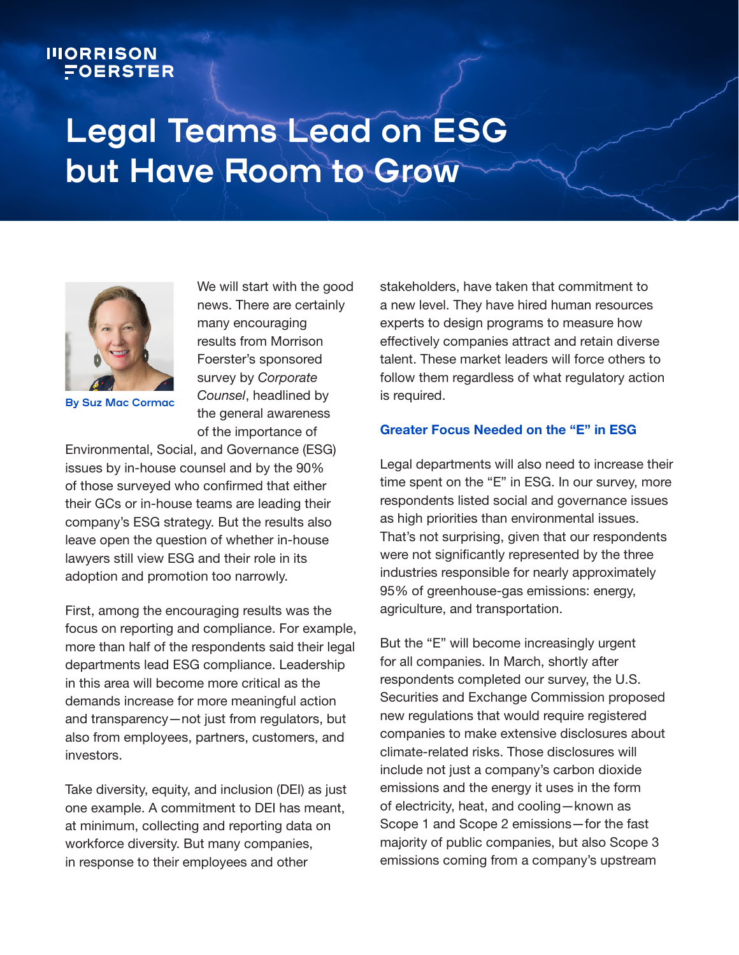## **IIIORRISON** FOERSTER

# **Legal Teams Lead on ESG but Have Room to Grow**



**By Suz Mac Cormac**

We will start with the good news. There are certainly many encouraging results from Morrison Foerster's sponsored survey by *Corporate Counsel*, headlined by the general awareness of the importance of

Environmental, Social, and Governance (ESG) issues by in-house counsel and by the 90% of those surveyed who confirmed that either their GCs or in-house teams are leading their company's ESG strategy. But the results also leave open the question of whether in-house lawyers still view ESG and their role in its adoption and promotion too narrowly.

First, among the encouraging results was the focus on reporting and compliance. For example, more than half of the respondents said their legal departments lead ESG compliance. Leadership in this area will become more critical as the demands increase for more meaningful action and transparency—not just from regulators, but also from employees, partners, customers, and investors.

Take diversity, equity, and inclusion (DEI) as just one example. A commitment to DEI has meant, at minimum, collecting and reporting data on workforce diversity. But many companies, in response to their employees and other

stakeholders, have taken that commitment to a new level. They have hired human resources experts to design programs to measure how effectively companies attract and retain diverse talent. These market leaders will force others to follow them regardless of what regulatory action is required.

#### Greater Focus Needed on the "E" in ESG

Legal departments will also need to increase their time spent on the "E" in ESG. In our survey, more respondents listed social and governance issues as high priorities than environmental issues. That's not surprising, given that our respondents were not significantly represented by the three industries responsible for nearly approximately 95% of greenhouse-gas emissions: energy, agriculture, and transportation.

But the "E" will become increasingly urgent for all companies. In March, shortly after respondents completed our survey, the U.S. Securities and Exchange Commission proposed new regulations that would require registered companies to make extensive disclosures about climate-related risks. Those disclosures will include not just a company's carbon dioxide emissions and the energy it uses in the form of electricity, heat, and cooling—known as Scope 1 and Scope 2 emissions—for the fast majority of public companies, but also Scope 3 emissions coming from a company's upstream